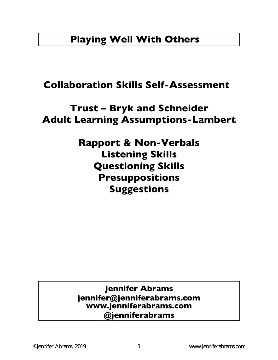# **Playing Well With Others**

# **Collaboration Skills Self-Assessment**

# **Trust – Bryk and Schneider Adult Learning Assumptions-Lambert**

# **Rapport & Non-Verbals Listening Skills Questioning Skills Presuppositions Suggestions**

## **Jennifer Abrams jennifer@jenniferabrams.com www.jenniferabrams.com @jenniferabrams**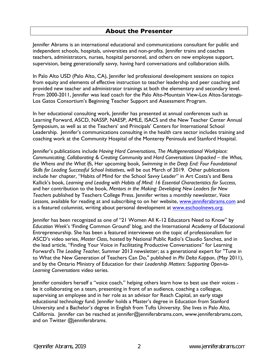#### **About the Presenter**

Jennifer Abrams is an international educational and communications consultant for public and independent schools, hospitals, universities and non-profits. Jennifer trains and coaches teachers, administrators, nurses, hospital personnel, and others on new employee support, supervision, being generationally savvy, having hard conversations and collaboration skills.

In Palo Alto USD (Palo Alto, CA), Jennifer led professional development sessions on topics from equity and elements of effective instruction to teacher leadership and peer coaching and provided new teacher and administrator trainings at both the elementary and secondary level. From 2000-2011, Jennifer was lead coach for the Palo Alto-Mountain View-Los Altos-Saratoga-Los Gatos Consortium's Beginning Teacher Support and Assessment Program.

In her educational consulting work, Jennifer has presented at annual conferences such as Learning Forward, ASCD, NASSP, NAESP, AMLE, ISACS and the New Teacher Center Annual Symposium, as well as at the Teachers' and Principals' Centers for International School Leadership. Jennifer's communications consulting in the health care sector includes training and coaching work at the Community Hospital of the Monterey Peninsula and Stanford Hospital.

Jennifer's publications include *Having Hard Conversations*, *The Multigenerational Workplace: Communicating, Collaborating & Creating Community* and *Hard Conversations Unpacked – the Whos, the Whens and the What Ifs*, Her upcoming book, *Swimming in the Deep End: Four Foundational Skills for Leading Successful School Initiatives*, will be out March of 2019. Other publications include her chapter, "Habits of Mind for the School Savvy Leader" in Art Costa's and Bena Kallick's book, *Learning and Leading with Habits of Mind: 16 Essential Characteristics for Success*, and her contribution to the book, *Mentors in the Making: Developing New Leaders for New Teachers* published by Teachers College Press. Jennifer writes a monthly newsletter, *Voice Lessons*, available for reading at and subscribing to on her website, www.jenniferabrams.com and is a featured columnist, writing about personal development at www.eschoolnews.org.

Jennifer has been recognized as one of "21 Women All K-12 Educators Need to Know" by *Education Week*'*s* 'Finding Common Ground' blog, and the International Academy of Educational Entrepreneurship. She has been a featured interviewee on the topic of professionalism for ASCD's video series, *Master Class*, hosted by National Public Radio's Claudio Sanchez, and in the lead article, "Finding Your Voice in Facilitating Productive Conversations" for Learning Forward's *The Leading Teacher*, Summer 2013 newsletter; as a generational expert for "Tune in to What the New Generation of Teachers Can Do," published in *Phi Delta Kappan*, (May 2011), and by the Ontario Ministry of Education for their *Leadership Matters: Supporting Open-to-Learning Conversations* video series.

Jennifer considers herself a "voice coach," helping others learn how to best use their voices be it collaborating on a team, presenting in front of an audience, coaching a colleague, supervising an employee and in her role as an advisor for Reach Capital, an early stage educational technology fund. Jennifer holds a Master's degree in Education from Stanford University and a Bachelor's degree in English from Tufts University. She lives in Palo Alto, California. Jennifer can be reached at jennifer@jenniferabrams.com, www.jenniferabrams.com, and on Twitter @jenniferabrams.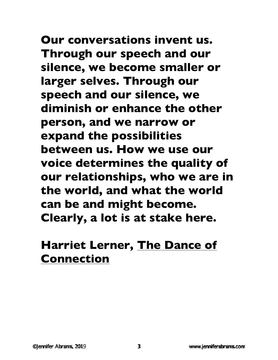**Our conversations invent us. Through our speech and our silence, we become smaller or larger selves. Through our speech and our silence, we diminish or enhance the other person, and we narrow or expand the possibilities between us. How we use our voice determines the quality of our relationships, who we are in the world, and what the world can be and might become. Clearly, a lot is at stake here.**

# **Harriet Lerner, The Dance of Connection**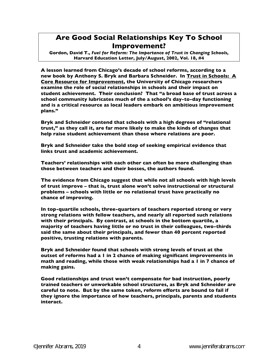## **Are Good Social Relationships Key To School Improvement?**

**Gordon, David T.,** *Fuel for Reform: The Importance of Trust in Changing Schools***, Harvard Education Letter, July/August, 2002, Vol. 18, #4** 

**A lesson learned from Chicago's decade of school reforms, according to a new book by Anthony S. Bryk and Barbara Schneider. In Trust in Schools: A Core Resource for Improvement, the University of Chicago researchers examine the role of social relationships in schools and their impact on student achievement. Their conclusion? That "a broad base of trust across a school community lubricates much of the a school's day-to-day functioning and is a critical resource as local leaders embark on ambitious improvement plans."** 

**Bryk and Schneider contend that schools with a high degrees of "relational trust," as they call it, are far more likely to make the kinds of changes that help raise student achievement than those where relations are poor.** 

**Bryk and Schneider take the bold step of seeking empirical evidence that links trust and academic achievement.** 

**Teachers' relationships with each other can often be more challenging than those between teachers and their bosses, the authors found.** 

**The evidence from Chicago suggest that while not all schools with high levels of trust improve – that is, trust alone won't solve instructional or structural problems – schools with little or no relational trust have practically no chance of improving.** 

**In top-quartile schools, three-quarters of teachers reported strong or very strong relations with fellow teachers, and nearly all reported such relations with their principals. By contrast, at schools in the bottom quartile, a majority of teachers having little or no trust in their colleagues, two-thirds said the same about their principals, and fewer than 40 percent reported positive, trusting relations with parents.** 

**Bryk and Schneider found that schools with strong levels of trust at the outset of reforms had a 1 in 2 chance of making significant improvements in math and reading, while those with weak relationships had a 1 in 7 chance of making gains.** 

**Good relationships and trust won't compensate for bad instruction, poorly trained teachers or unworkable school structures, as Bryk and Schneider are careful to note. But by the same token, reform efforts are bound to fail if they ignore the importance of how teachers, principals, parents and students interact.**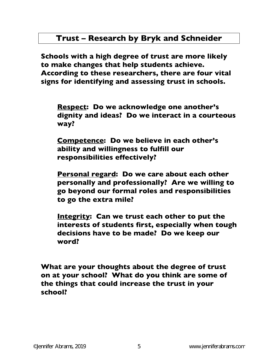## **Trust – Research by Bryk and Schneider**

**Schools with a high degree of trust are more likely to make changes that help students achieve. According to these researchers, there are four vital signs for identifying and assessing trust in schools.** 

**Respect: Do we acknowledge one another's dignity and ideas? Do we interact in a courteous way?** 

**Competence: Do we believe in each other's ability and willingness to fulfill our responsibilities effectively?** 

**Personal regard: Do we care about each other personally and professionally? Are we willing to go beyond our formal roles and responsibilities to go the extra mile?** 

**Integrity: Can we trust each other to put the interests of students first, especially when tough decisions have to be made? Do we keep our word?** 

**What are your thoughts about the degree of trust on at your school? What do you think are some of the things that could increase the trust in your school?**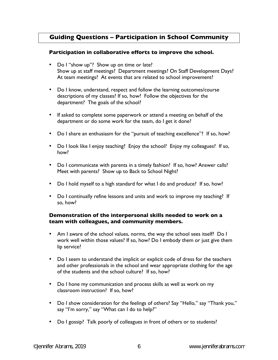### **Guiding Questions – Participation in School Community**

#### **Participation in collaborative efforts to improve the school.**

- Do I "show up"? Show up on time or late? Show up at staff meetings? Department meetings? On Staff Development Days? At team meetings? At events that are related to school improvement?
- Do I know, understand, respect and follow the learning outcomes/course descriptions of my classes? If so, how? Follow the objectives for the department? The goals of the school?
- If asked to complete some paperwork or attend a meeting on behalf of the department or do some work for the team, do I get it done?
- Do I share an enthusiasm for the "pursuit of teaching excellence"? If so, how?
- Do I look like I enjoy teaching? Enjoy the school? Enjoy my colleagues? If so, how?
- Do I communicate with parents in a timely fashion? If so, how? Answer calls? Meet with parents? Show up to Back to School Night?
- Do I hold myself to a high standard for what I do and produce? If so, how?
- Do I continually refine lessons and units and work to improve my teaching? If so, how?

#### **Demonstration of the interpersonal skills needed to work on a team with colleagues, and community members.**

- Am I aware of the school values, norms, the way the school sees itself? Do I work well within those values? If so, how? Do I embody them or just give them lip service?
- Do I seem to understand the implicit or explicit code of dress for the teachers and other professionals in the school and wear appropriate clothing for the age of the students and the school culture? If so, how?
- Do I hone my communication and process skills as well as work on my classroom instruction? If so, how?
- Do I show consideration for the feelings of others? Say "Hello," say "Thank you," say "I'm sorry," say "What can I do to help?"
- Do I gossip? Talk poorly of colleagues in front of others or to students?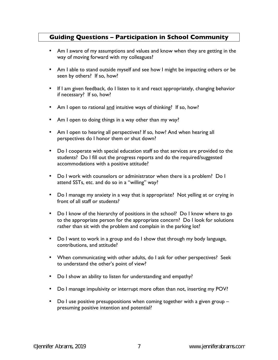### **Guiding Questions – Participation in School Community**

- Am I aware of my assumptions and values and know when they are getting in the way of moving forward with my colleagues?
- Am I able to stand outside myself and see how I might be impacting others or be seen by others? If so, how?
- If I am given feedback, do I listen to it and react appropriately, changing behavior if necessary? If so, how?
- Am I open to rational and intuitive ways of thinking? If so, how?
- Am I open to doing things in a way other than my way?
- Am I open to hearing all perspectives? If so, how? And when hearing all perspectives do I honor them or shut down?
- Do I cooperate with special education staff so that services are provided to the students? Do I fill out the progress reports and do the required/suggested accommodations with a positive attitude?
- Do I work with counselors or administrator when there is a problem? Do I attend SSTs, etc. and do so in a "willing" way?
- Do I manage my anxiety in a way that is appropriate? Not yelling at or crying in front of all staff or students?
- Do I know of the hierarchy of positions in the school? Do I know where to go to the appropriate person for the appropriate concern? Do I look for solutions rather than sit with the problem and complain in the parking lot?
- Do I want to work in a group and do I show that through my body language, contributions, and attitude?
- When communicating with other adults, do I ask for other perspectives? Seek to understand the other's point of view?
- Do I show an ability to listen for understanding and empathy?
- Do I manage impulsivity or interrupt more often than not, inserting my POV?
- Do I use positive presuppositions when coming together with a given group presuming positive intention and potential?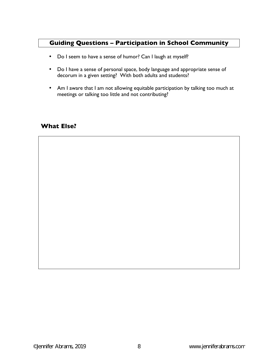### **Guiding Questions – Participation in School Community**

- Do I seem to have a sense of humor? Can I laugh at myself?
- Do I have a sense of personal space, body language and appropriate sense of decorum in a given setting? With both adults and students?
- Am I aware that I am not allowing equitable participation by talking too much at meetings or talking too little and not contributing?

#### **What Else?**

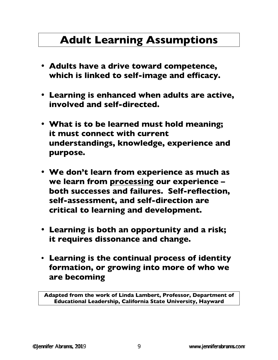# **Adult Learning Assumptions**

- **Adults have a drive toward competence, which is linked to self-image and efficacy.**
- **Learning is enhanced when adults are active, involved and self-directed.**
- **What is to be learned must hold meaning; it must connect with current understandings, knowledge, experience and purpose.**
- **We don't learn from experience as much as we learn from processing our experience – both successes and failures. Self-reflection, self-assessment, and self-direction are critical to learning and development.**
- **Learning is both an opportunity and a risk; it requires dissonance and change.**
- **Learning is the continual process of identity formation, or growing into more of who we are becoming**

**Adapted from the work of Linda Lambert, Professor, Department of Educational Leadership, California State University, Hayward**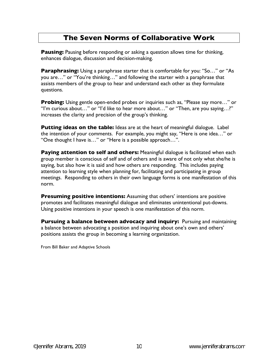### **The Seven Norms of Collaborative Work**

**Pausing:** Pausing before responding or asking a question allows time for thinking, enhances dialogue, discussion and decision-making.

**Paraphrasing:** Using a paraphrase starter that is comfortable for you: "So..." or "As you are…" or "You're thinking…" and following the starter with a paraphrase that assists members of the group to hear and understand each other as they formulate questions.

**Probing:** Using gentle open-ended probes or inquiries such as, "Please say more..." or "I'm curious about…" or "I'd like to hear more about…" or "Then, are you saying…?" increases the clarity and precision of the group's thinking.

**Putting ideas on the table:** Ideas are at the heart of meaningful dialogue. Label the intention of your comments. For example, you might say, "Here is one idea…" or "One thought I have is…" or "Here is a possible approach…".

**Paying attention to self and others:** Meaningful dialogue is facilitated when each group member is conscious of self and of others and is aware of not only what she/he is saying, but also how it is said and how others are responding. This includes paying attention to learning style when planning for, facilitating and participating in group meetings. Responding to others in their own language forms is one manifestation of this norm.

**Presuming positive intentions:** Assuming that others' intentions are positive promotes and facilitates meaningful dialogue and eliminates unintentional put-downs. Using positive intentions in your speech is one manifestation of this norm.

**Pursuing a balance between advocacy and inquiry:** Pursuing and maintaining a balance between advocating a position and inquiring about one's own and others' positions assists the group in becoming a learning organization.

From Bill Baker and Adaptive Schools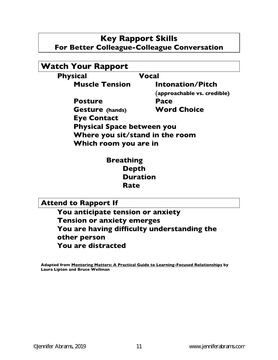## **Key Rapport Skills For Better Colleague-Colleague Conversation**

| <b>Watch Your Rapport</b>         |                             |
|-----------------------------------|-----------------------------|
| <b>Physical</b>                   | <b>Vocal</b>                |
| <b>Muscle Tension</b>             | Intonation/Pitch            |
|                                   | (approachable vs. credible) |
| <b>Posture</b>                    | <b>Pace</b>                 |
| <b>Gesture</b> (hands)            | <b>Word Choice</b>          |
| <b>Eye Contact</b>                |                             |
| <b>Physical Space between you</b> |                             |
| Where you sit/stand in the room   |                             |
| Which room you are in             |                             |

 **Breathing Depth Duration Rate** 

**Attend to Rapport If** 

**You anticipate tension or anxiety Tension or anxiety emerges You are having difficulty understanding the other person You are distracted** 

**Adapted from Mentoring Matters: A Practical Guide to Learning-Focused Relationships by Laura Lipton and Bruce Wellman**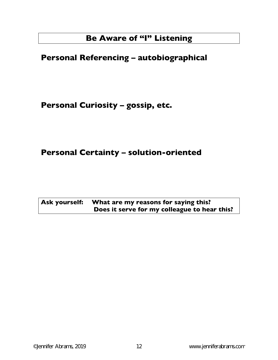# **Be Aware of "I" Listening**

# **Personal Referencing – autobiographical**

**Personal Curiosity – gossip, etc.** 

# **Personal Certainty – solution-oriented**

| Ask yourself: What are my reasons for saying this? |
|----------------------------------------------------|
| Does it serve for my colleague to hear this?       |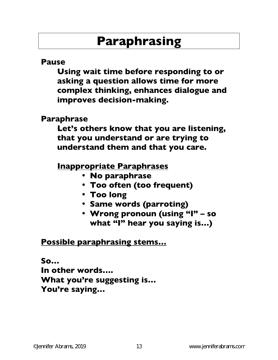# **Paraphrasing**

## **Pause**

**Using wait time before responding to or asking a question allows time for more complex thinking, enhances dialogue and improves decision-making.** 

## **Paraphrase**

**Let's others know that you are listening, that you understand or are trying to understand them and that you care.** 

# **Inappropriate Paraphrases**

- **No paraphrase**
- **Too often (too frequent)**
- **Too long**
- **Same words (parroting)**
- **Wrong pronoun (using "I" so what "I" hear you saying is…)**

# **Possible paraphrasing stems…**

# **So… In other words…. What you're suggesting is… You're saying…**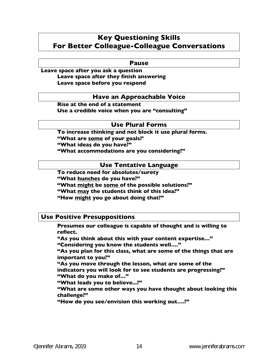## **Key Questioning Skills For Better Colleague-Colleague Conversations**

#### **Pause**

**Leave space after you ask a question Leave space after they finish answering Leave space before you respond** 

#### **Have an Approachable Voice**

**Rise at the end of a statement Use a credible voice when you are "consulting"** 

#### **Use Plural Forms**

 **To increase thinking and not block it use plural forms. "What are some of your goals?' "What ideas do you have?" "What accommodations are you considering?"** 

#### **Use Tentative Language**

**To reduce need for absolutes/surety "What hunches do you have?" "What might be some of the possible solutions?" "What may the students think of this idea?" "How might you go about doing that?"** 

#### **Use Positive Presuppositions**

**Presumes our colleague is capable of thought and is willing to reflect.** 

 **"As you think about this with your content expertise…" "Considering you know the students well…."** 

**"As you plan for this class, what are some of the things that are important to you?"** 

**"As you move through the lesson, what are some of the indicators you will look for to see students are progressing?" "What do you make of…"** 

**"What leads you to believe...?"** 

**"What are some other ways you have thought about looking this challenge?"** 

**"How do you see/envision this working out….?"**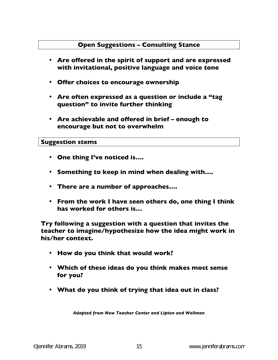### **Open Suggestions – Consulting Stance**

- **Are offered in the spirit of support and are expressed with invitational, positive language and voice tone**
- **Offer choices to encourage ownership**
- **Are often expressed as a question or include a "tag question" to invite further thinking**
- **Are achievable and offered in brief enough to encourage but not to overwhelm**

#### **Suggestion stems**

- **One thing I've noticed is….**
- **Something to keep in mind when dealing with….**
- **There are a number of approaches….**
- **From the work I have seen others do, one thing I think has worked for others is…**

**Try following a suggestion with a question that invites the teacher to imagine/hypothesize how the idea might work in his/her context.** 

- **How do you think that would work?**
- **Which of these ideas do you think makes most sense for you?**
- **What do you think of trying that idea out in class?**

*Adapted from New Teacher Center and Lipton and Wellman*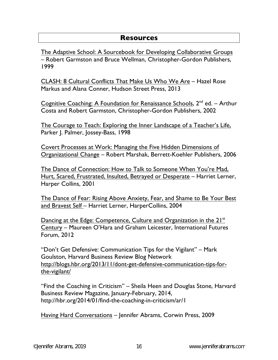### **Resources**

The Adaptive School: A Sourcebook for Developing Collaborative Groups – Robert Garmston and Bruce Wellman, Christopher-Gordon Publishers, 1999

CLASH: 8 Cultural Conflicts That Make Us Who We Are – Hazel Rose Markus and Alana Conner, Hudson Street Press, 2013

Cognitive Coaching: A Foundation for Renaissance Schools,  $2^{nd}$  ed. – Arthur Costa and Robert Garmston, Christopher-Gordon Publishers, 2002

The Courage to Teach: Exploring the Inner Landscape of a Teacher's Life, Parker J. Palmer, Jossey-Bass, 1998

Covert Processes at Work: Managing the Five Hidden Dimensions of Organizational Change – Robert Marshak, Berrett-Koehler Publishers, 2006

The Dance of Connection: How to Talk to Someone When You're Mad, Hurt, Scared, Frustrated, Insulted, Betrayed or Desperate – Harriet Lerner, Harper Collins, 2001

The Dance of Fear: Rising Above Anxiety, Fear, and Shame to Be Your Best and Bravest Self – Harriet Lerner, HarperCollins, 2004

Dancing at the Edge: Competence, Culture and Organization in the 21<sup>st</sup> Century – Maureen O'Hara and Graham Leicester, International Futures Forum, 2012

"Don't Get Defensive: Communication Tips for the Vigilant" – Mark Goulston, Harvard Business Review Blog Network http://blogs.hbr.org/2013/11/dont-get-defensive-communication-tips-forthe-vigilant/

"Find the Coaching in Criticism" – Sheila Heen and Douglas Stone, Harvard Business Review Magazine, January-February, 2014, http://hbr.org/2014/01/find-the-coaching-in-criticism/ar/1

Having Hard Conversations – Jennifer Abrams, Corwin Press, 2009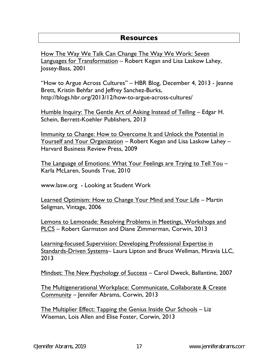### **Resources**

How The Way We Talk Can Change The Way We Work: Seven Languages for Transformation – Robert Kegan and Lisa Laskow Lahey, Jossey-Bass, 2001

"How to Argue Across Cultures" – HBR Blog, December 4, 2013 - Jeanne Brett, Kristin Behfar and Jeffrey Sanchez-Burks, http://blogs.hbr.org/2013/12/how-to-argue-across-cultures/

Humble Inquiry: The Gentle Art of Asking Instead of Telling - Edgar H. Schein, Berrett-Koehler Publishers, 2013

Immunity to Change: How to Overcome It and Unlock the Potential in Yourself and Your Organization – Robert Kegan and Lisa Laskow Lahey – Harvard Business Review Press, 2009

The Language of Emotions: What Your Feelings are Trying to Tell You – Karla McLaren, Sounds True, 2010

www.lasw.org - Looking at Student Work

Learned Optimism: How to Change Your Mind and Your Life – Martin Seligman, Vintage, 2006

Lemons to Lemonade: Resolving Problems in Meetings, Workshops and PLCS – Robert Garmston and Diane Zimmerman, Corwin, 2013

Learning-focused Supervision: Developing Professional Expertise in Standards-Driven Systems– Laura Lipton and Bruce Wellman, Miravia LLC, 2013

Mindset: The New Psychology of Success – Carol Dweck, Ballantine, 2007

The Multigenerational Workplace: Communicate, Collaborate & Create Community – Jennifer Abrams, Corwin, 2013

The Multiplier Effect: Tapping the Genius Inside Our Schools – Liz Wiseman, Lois Allen and Elise Foster, Corwin, 2013